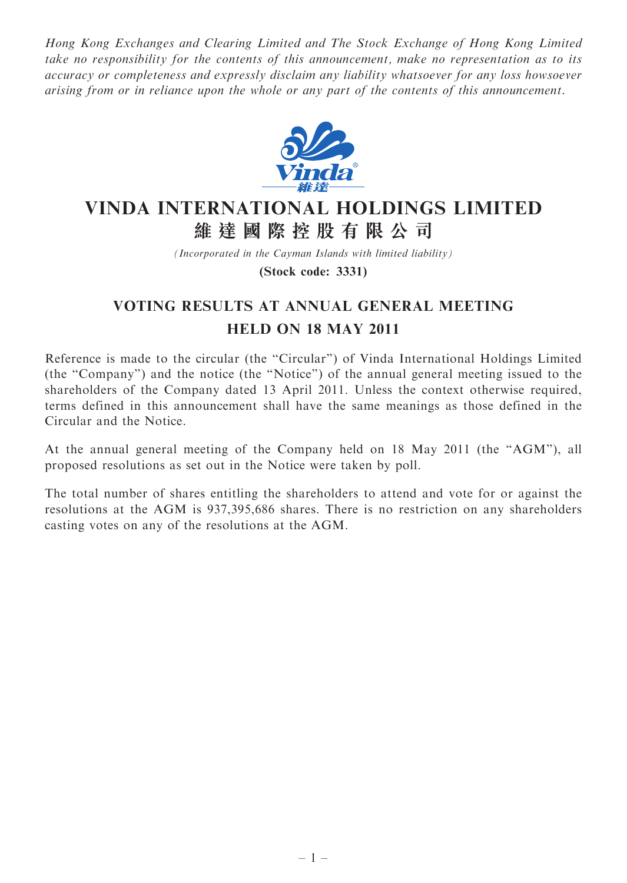Hong Kong Exchanges and Clearing Limited and The Stock Exchange of Hong Kong Limited take no responsibility for the contents of this announcement, make no representation as to its accuracy or completeness and expressly disclaim any liability whatsoever for any loss howsoever arising from or in reliance upon the whole or any part of the contents of this announcement.



## VINDA INTERNATIONAL HOLDINGS LIMITED 維 達 國 際 控 股 有 限 公 司

(Incorporated in the Cayman Islands with limited liability)

(Stock code: 3331)

## VOTING RESULTS AT ANNUAL GENERAL MEETING HELD ON 18 MAY 2011

Reference is made to the circular (the ''Circular'') of Vinda International Holdings Limited (the ''Company'') and the notice (the ''Notice'') of the annual general meeting issued to the shareholders of the Company dated 13 April 2011. Unless the context otherwise required, terms defined in this announcement shall have the same meanings as those defined in the Circular and the Notice.

At the annual general meeting of the Company held on 18 May 2011 (the ''AGM''), all proposed resolutions as set out in the Notice were taken by poll.

The total number of shares entitling the shareholders to attend and vote for or against the resolutions at the AGM is 937,395,686 shares. There is no restriction on any shareholders casting votes on any of the resolutions at the AGM.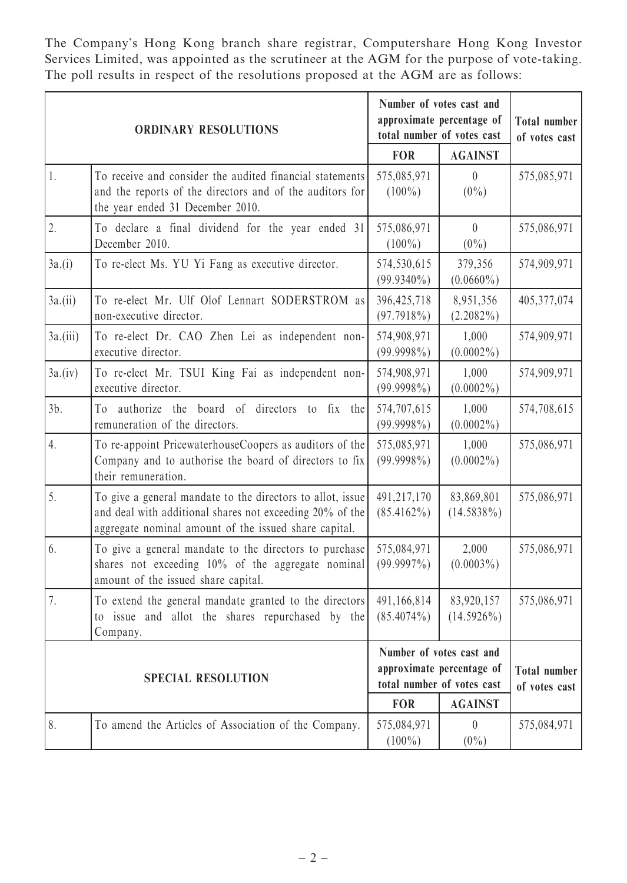The Company's Hong Kong branch share registrar, Computershare Hong Kong Investor Services Limited, was appointed as the scrutineer at the AGM for the purpose of vote-taking. The poll results in respect of the resolutions proposed at the AGM are as follows:

| <b>ORDINARY RESOLUTIONS</b> |                                                                                                                                                                                 | Number of votes cast and<br>approximate percentage of<br>total number of votes cast |                                              | <b>Total number</b><br>of votes cast |
|-----------------------------|---------------------------------------------------------------------------------------------------------------------------------------------------------------------------------|-------------------------------------------------------------------------------------|----------------------------------------------|--------------------------------------|
|                             |                                                                                                                                                                                 | <b>FOR</b>                                                                          | <b>AGAINST</b>                               |                                      |
| 1.                          | To receive and consider the audited financial statements<br>and the reports of the directors and of the auditors for<br>the year ended 31 December 2010.                        | 575,085,971<br>$(100\%)$                                                            | $\theta$<br>$(0\%)$                          | 575,085,971                          |
| 2.                          | To declare a final dividend for the year ended 31<br>December 2010.                                                                                                             | 575,086,971<br>$(100\%)$                                                            | $\theta$<br>$(0\%)$                          | 575,086,971                          |
| 3a.(i)                      | To re-elect Ms. YU Yi Fang as executive director.                                                                                                                               | 574,530,615<br>$(99.9340\%)$                                                        | 379,356<br>$(0.0660\%)$                      | 574,909,971                          |
| $3a$ .(ii)                  | To re-elect Mr. Ulf Olof Lennart SODERSTROM as<br>non-executive director.                                                                                                       | 396,425,718<br>$(97.7918\%)$                                                        | 8,951,356<br>$(2.2082\%)$                    | 405,377,074                          |
| $3a$ .(iii)                 | To re-elect Dr. CAO Zhen Lei as independent non-<br>executive director.                                                                                                         | 574,908,971<br>$(99.9998\%)$                                                        | 1,000<br>$(0.0002\%)$                        | 574,909,971                          |
| 3a.(iv)                     | To re-elect Mr. TSUI King Fai as independent non-<br>executive director.                                                                                                        | 574,908,971<br>$(99.9998\%)$                                                        | 1,000<br>$(0.0002\%)$                        | 574,909,971                          |
| $3b$ .                      | authorize the board of directors<br>to fix<br>the<br>To<br>remuneration of the directors.                                                                                       | 574,707,615<br>$(99.9998\%)$                                                        | 1,000<br>$(0.0002\%)$                        | 574,708,615                          |
| 4.                          | To re-appoint PricewaterhouseCoopers as auditors of the<br>Company and to authorise the board of directors to fix<br>their remuneration.                                        | 575,085,971<br>$(99.9998\%)$                                                        | 1,000<br>$(0.0002\%)$                        | 575,086,971                          |
| 5.                          | To give a general mandate to the directors to allot, issue<br>and deal with additional shares not exceeding 20% of the<br>aggregate nominal amount of the issued share capital. | 491,217,170<br>$(85.4162\%)$                                                        | 83,869,801<br>$(14.5838\%)$                  | 575,086,971                          |
| 6.                          | To give a general mandate to the directors to purchase<br>shares not exceeding $10\%$ of the aggregate nominal (99.9997%)<br>amount of the issued share capital.                | 575,084,971                                                                         | 2,000<br>$(0.0003\%)$                        | 575,086,971                          |
| 7.                          | To extend the general mandate granted to the directors<br>to issue and allot the shares repurchased by the<br>Company.                                                          | 491,166,814<br>$(85.4074\%)$                                                        | 83,920,157<br>$(14.5926\%)$                  | 575,086,971                          |
| <b>SPECIAL RESOLUTION</b>   |                                                                                                                                                                                 | Number of votes cast and<br>approximate percentage of                               |                                              | <b>Total number</b>                  |
|                             |                                                                                                                                                                                 | <b>FOR</b>                                                                          | total number of votes cast<br><b>AGAINST</b> | of votes cast                        |
| 8.                          | To amend the Articles of Association of the Company.                                                                                                                            | 575,084,971<br>$(100\%)$                                                            | $\theta$<br>$(0\%)$                          | 575,084,971                          |